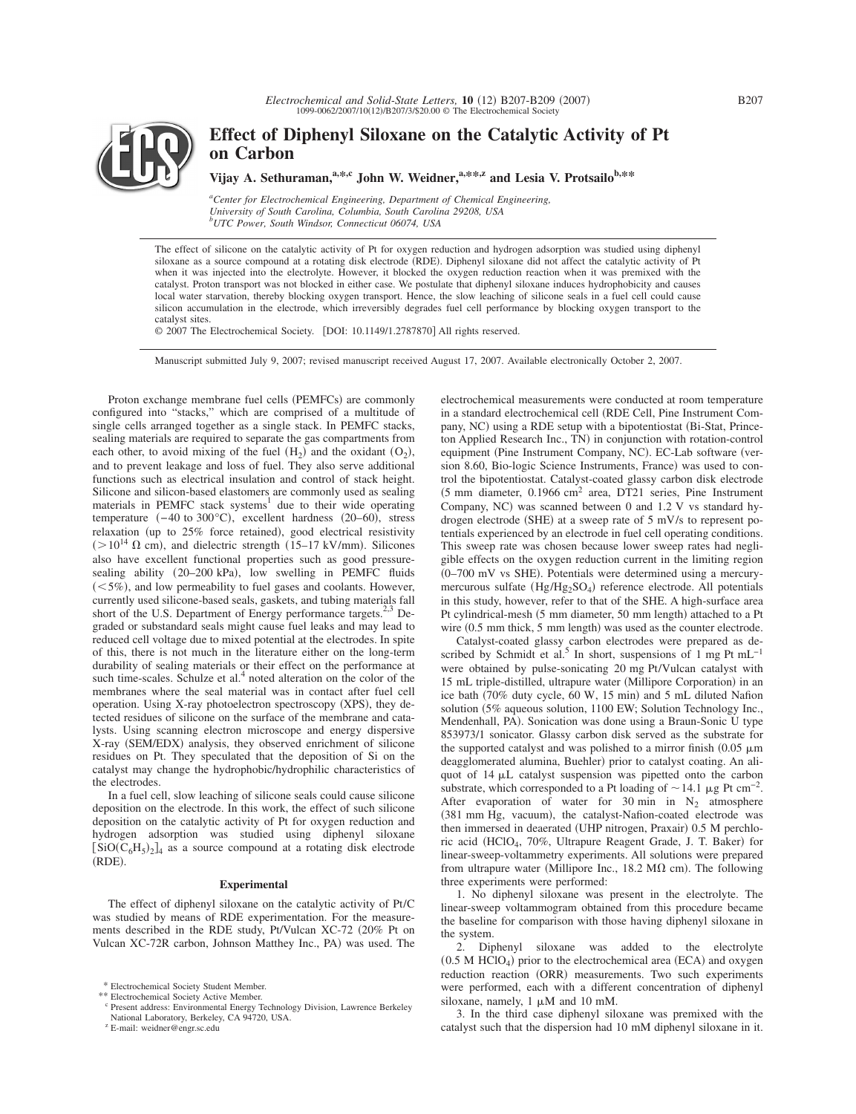

# **Effect of Diphenyl Siloxane on the Catalytic Activity of Pt on Carbon**

Vijay A. Sethuraman,<sup>a,\*,c</sup> John W. Weidner,<sup>a,\*\*,z</sup> and Lesia V. Protsailo<sup>b,\*\*</sup>

*a Center for Electrochemical Engineering, Department of Chemical Engineering, University of South Carolina, Columbia, South Carolina 29208, USA b UTC Power, South Windsor, Connecticut 06074, USA*

The effect of silicone on the catalytic activity of Pt for oxygen reduction and hydrogen adsorption was studied using diphenyl siloxane as a source compound at a rotating disk electrode (RDE). Diphenyl siloxane did not affect the catalytic activity of Pt when it was injected into the electrolyte. However, it blocked the oxygen reduction reaction when it was premixed with the catalyst. Proton transport was not blocked in either case. We postulate that diphenyl siloxane induces hydrophobicity and causes local water starvation, thereby blocking oxygen transport. Hence, the slow leaching of silicone seals in a fuel cell could cause silicon accumulation in the electrode, which irreversibly degrades fuel cell performance by blocking oxygen transport to the catalyst sites.

© 2007 The Electrochemical Society. [DOI: 10.1149/1.2787870] All rights reserved.

Manuscript submitted July 9, 2007; revised manuscript received August 17, 2007. Available electronically October 2, 2007.

Proton exchange membrane fuel cells (PEMFCs) are commonly configured into "stacks," which are comprised of a multitude of single cells arranged together as a single stack. In PEMFC stacks, sealing materials are required to separate the gas compartments from each other, to avoid mixing of the fuel  $(H_2)$  and the oxidant  $(O_2)$ , and to prevent leakage and loss of fuel. They also serve additional functions such as electrical insulation and control of stack height. Silicone and silicon-based elastomers are commonly used as sealing materials in PEMFC stack systems<sup>1</sup> due to their wide operating temperature  $(-40 \text{ to } 300 \degree \text{C})$ , excellent hardness  $(20-60)$ , stress relaxation (up to 25% force retained), good electrical resistivity  $(>10^{14} \Omega \text{ cm})$ , and dielectric strength (15–17 kV/mm). Silicones also have excellent functional properties such as good pressuresealing ability (20-200 kPa), low swelling in PEMFC fluids  $(<5\%)$ , and low permeability to fuel gases and coolants. However, currently used silicone-based seals, gaskets, and tubing materials fall short of the U.S. Department of Energy performance targets.<sup>2,3</sup> Degraded or substandard seals might cause fuel leaks and may lead to reduced cell voltage due to mixed potential at the electrodes. In spite of this, there is not much in the literature either on the long-term durability of sealing materials or their effect on the performance at such time-scales. Schulze et al.<sup>4</sup> noted alteration on the color of the membranes where the seal material was in contact after fuel cell operation. Using X-ray photoelectron spectroscopy (XPS), they detected residues of silicone on the surface of the membrane and catalysts. Using scanning electron microscope and energy dispersive X-ray (SEM/EDX) analysis, they observed enrichment of silicone residues on Pt. They speculated that the deposition of Si on the catalyst may change the hydrophobic/hydrophilic characteristics of the electrodes.

In a fuel cell, slow leaching of silicone seals could cause silicone deposition on the electrode. In this work, the effect of such silicone deposition on the catalytic activity of Pt for oxygen reduction and hydrogen adsorption was studied using diphenyl siloxane  $\left[ SiO(C_6H_5)_{2}\right]_4$  as a source compound at a rotating disk electrode (RDE).

## **Experimental**

The effect of diphenyl siloxane on the catalytic activity of Pt/C was studied by means of RDE experimentation. For the measurements described in the RDE study, Pt/Vulcan XC-72 (20% Pt on Vulcan XC-72R carbon, Johnson Matthey Inc., PA) was used. The

<sup>z</sup> E-mail: weidner@engr.sc.edu

electrochemical measurements were conducted at room temperature in a standard electrochemical cell RDE Cell, Pine Instrument Company, NC) using a RDE setup with a bipotentiostat (Bi-Stat, Princeton Applied Research Inc., TN) in conjunction with rotation-control equipment (Pine Instrument Company, NC). EC-Lab software (version 8.60, Bio-logic Science Instruments, France) was used to control the bipotentiostat. Catalyst-coated glassy carbon disk electrode  $(5 \text{ mm diameter}, 0.1966 \text{ cm}^2 \text{ area}, \text{ DT21 series}, \text{ Pine Instrument}$ Company, NC) was scanned between  $0$  and  $1.2$  V vs standard hydrogen electrode (SHE) at a sweep rate of 5 mV/s to represent potentials experienced by an electrode in fuel cell operating conditions. This sweep rate was chosen because lower sweep rates had negligible effects on the oxygen reduction current in the limiting region  $(0-700 \text{ mV}$  vs SHE). Potentials were determined using a mercurymercurous sulfate (Hg/Hg<sub>2</sub>SO<sub>4</sub>) reference electrode. All potentials in this study, however, refer to that of the SHE. A high-surface area Pt cylindrical-mesh (5 mm diameter, 50 mm length) attached to a Pt wire (0.5 mm thick, 5 mm length) was used as the counter electrode.

Catalyst-coated glassy carbon electrodes were prepared as described by Schmidt et al.<sup>5</sup> In short, suspensions of 1 mg Pt mL<sup>-1</sup> were obtained by pulse-sonicating 20 mg Pt/Vulcan catalyst with 15 mL triple-distilled, ultrapure water (Millipore Corporation) in an ice bath (70% duty cycle, 60 W, 15 min) and 5 mL diluted Nafion solution 5% aqueous solution, 1100 EW; Solution Technology Inc., Mendenhall, PA). Sonication was done using a Braun-Sonic U type 853973/1 sonicator. Glassy carbon disk served as the substrate for the supported catalyst and was polished to a mirror finish  $(0.05 \mu m)$ deagglomerated alumina, Buehler) prior to catalyst coating. An aliquot of  $14 \mu L$  catalyst suspension was pipetted onto the carbon substrate, which corresponded to a Pt loading of  $\sim$  14.1 µg Pt cm<sup>-2</sup>. After evaporation of water for 30 min in  $N_2$  atmosphere (381 mm Hg, vacuum), the catalyst-Nafion-coated electrode was then immersed in deaerated (UHP nitrogen, Praxair) 0.5 M perchloric acid (HClO<sub>4</sub>, 70%, Ultrapure Reagent Grade, J. T. Baker) for linear-sweep-voltammetry experiments. All solutions were prepared from ultrapure water (Millipore Inc.,  $18.2 \text{ M}\Omega \text{ cm}$ ). The following three experiments were performed:

1. No diphenyl siloxane was present in the electrolyte. The linear-sweep voltammogram obtained from this procedure became the baseline for comparison with those having diphenyl siloxane in the system.

2. Diphenyl siloxane was added to the electrolyte  $(0.5 M HClO<sub>4</sub>)$  prior to the electrochemical area (ECA) and oxygen reduction reaction (ORR) measurements. Two such experiments were performed, each with a different concentration of diphenyl siloxane, namely,  $1 \mu M$  and  $10 \text{ mM}$ .

3. In the third case diphenyl siloxane was premixed with the catalyst such that the dispersion had 10 mM diphenyl siloxane in it.

<sup>\*</sup> Electrochemical Society Student Member.

<sup>\*\*</sup> Electrochemical Society Active Member.

<sup>c</sup> Present address: Environmental Energy Technology Division, Lawrence Berkeley National Laboratory, Berkeley, CA 94720, USA.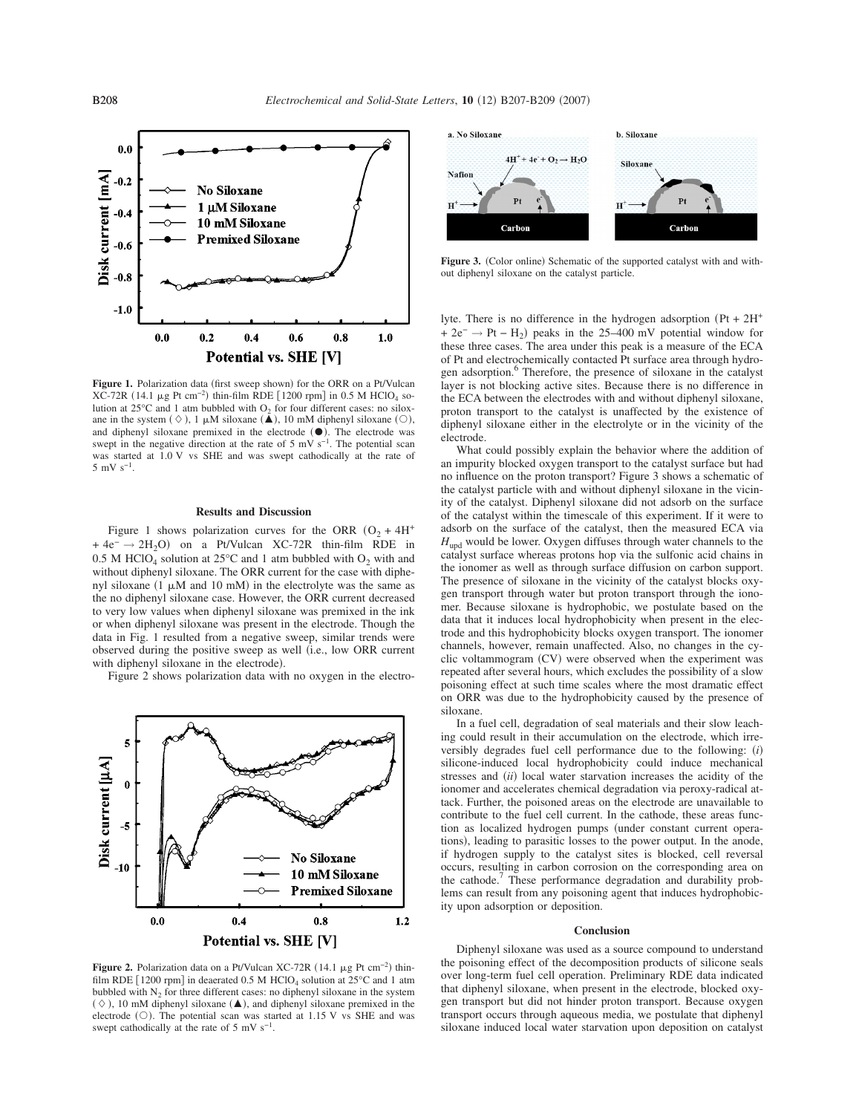

Figure 1. Polarization data (first sweep shown) for the ORR on a Pt/Vulcan  $XC-72R$  (14.1 µg Pt cm<sup>-2</sup>) thin-film RDE [1200 rpm] in 0.5 M HClO<sub>4</sub> solution at  $25^{\circ}$ C and 1 atm bubbled with  $O_2$  for four different cases: no siloxane in the system  $(\Diamond)$ , 1  $\mu$ M siloxane  $(\triangle)$ , 10 mM diphenyl siloxane  $(\bigcirc)$ , and diphenyl siloxane premixed in the electrode  $(①)$ . The electrode was swept in the negative direction at the rate of 5 mV s<sup>-1</sup>. The potential scan was started at 1.0 V vs SHE and was swept cathodically at the rate of  $5 \text{ mV s}^{-1}$ .

# **Results and Discussion**

Figure 1 shows polarization curves for the ORR  $(O_2 + 4H^+$  $+ 4e^- \rightarrow 2H_2O$  on a Pt/Vulcan XC-72R thin-film RDE in 0.5 M HClO<sub>4</sub> solution at 25 $^{\circ}$ C and 1 atm bubbled with O<sub>2</sub> with and without diphenyl siloxane. The ORR current for the case with diphenyl siloxane  $(1 \mu M$  and  $10 \text{ mM})$  in the electrolyte was the same as the no diphenyl siloxane case. However, the ORR current decreased to very low values when diphenyl siloxane was premixed in the ink or when diphenyl siloxane was present in the electrode. Though the data in Fig. 1 resulted from a negative sweep, similar trends were observed during the positive sweep as well i.e., low ORR current with diphenyl siloxane in the electrode).

Figure 2 shows polarization data with no oxygen in the electro-



**Figure 2.** Polarization data on a Pt/Vulcan XC-72R  $(14.1 \mu g$  Pt cm<sup>-2</sup>) thinfilm RDE  $\lceil 1200 \text{ rpm} \rceil$  in deaerated 0.5 M HClO<sub>4</sub> solution at  $25^{\circ}$ C and 1 atm bubbled with  $N_2$  for three different cases: no diphenyl siloxane in the system  $(\Diamond)$ , 10 mM diphenyl siloxane ( $\triangle$ ), and diphenyl siloxane premixed in the electrode  $(O)$ . The potential scan was started at 1.15 V vs SHE and was swept cathodically at the rate of 5 mV  $s^{-1}$ .



Figure 3. (Color online) Schematic of the supported catalyst with and without diphenyl siloxane on the catalyst particle.

lyte. There is no difference in the hydrogen adsorption  $(Pt + 2H<sup>+</sup>)$ + 2e<sup>-</sup> → Pt – H<sub>2</sub>) peaks in the 25–400 mV potential window for these three cases. The area under this peak is a measure of the ECA of Pt and electrochemically contacted Pt surface area through hydrogen adsorption.<sup>6</sup> Therefore, the presence of siloxane in the catalyst layer is not blocking active sites. Because there is no difference in the ECA between the electrodes with and without diphenyl siloxane, proton transport to the catalyst is unaffected by the existence of diphenyl siloxane either in the electrolyte or in the vicinity of the electrode.

What could possibly explain the behavior where the addition of an impurity blocked oxygen transport to the catalyst surface but had no influence on the proton transport? Figure 3 shows a schematic of the catalyst particle with and without diphenyl siloxane in the vicinity of the catalyst. Diphenyl siloxane did not adsorb on the surface of the catalyst within the timescale of this experiment. If it were to adsorb on the surface of the catalyst, then the measured ECA via *H*<sub>upd</sub> would be lower. Oxygen diffuses through water channels to the catalyst surface whereas protons hop via the sulfonic acid chains in the ionomer as well as through surface diffusion on carbon support. The presence of siloxane in the vicinity of the catalyst blocks oxygen transport through water but proton transport through the ionomer. Because siloxane is hydrophobic, we postulate based on the data that it induces local hydrophobicity when present in the electrode and this hydrophobicity blocks oxygen transport. The ionomer channels, however, remain unaffected. Also, no changes in the cyclic voltammogram (CV) were observed when the experiment was repeated after several hours, which excludes the possibility of a slow poisoning effect at such time scales where the most dramatic effect on ORR was due to the hydrophobicity caused by the presence of siloxane.

In a fuel cell, degradation of seal materials and their slow leaching could result in their accumulation on the electrode, which irreversibly degrades fuel cell performance due to the following: *i* silicone-induced local hydrophobicity could induce mechanical stresses and *(ii)* local water starvation increases the acidity of the ionomer and accelerates chemical degradation via peroxy-radical attack. Further, the poisoned areas on the electrode are unavailable to contribute to the fuel cell current. In the cathode, these areas function as localized hydrogen pumps (under constant current operations), leading to parasitic losses to the power output. In the anode, if hydrogen supply to the catalyst sites is blocked, cell reversal occurs, resulting in carbon corrosion on the corresponding area on the cathode.<sup>7</sup> These performance degradation and durability problems can result from any poisoning agent that induces hydrophobicity upon adsorption or deposition.

#### **Conclusion**

Diphenyl siloxane was used as a source compound to understand the poisoning effect of the decomposition products of silicone seals over long-term fuel cell operation. Preliminary RDE data indicated that diphenyl siloxane, when present in the electrode, blocked oxygen transport but did not hinder proton transport. Because oxygen transport occurs through aqueous media, we postulate that diphenyl siloxane induced local water starvation upon deposition on catalyst